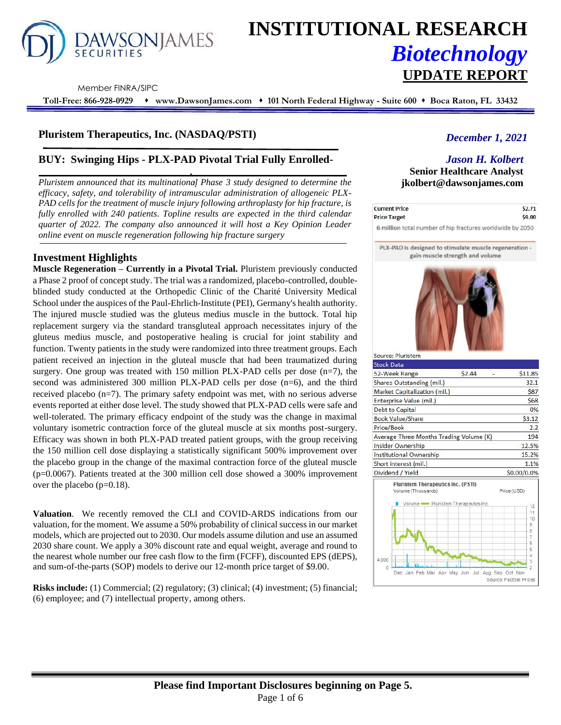

# **INSTITUTIONAL RESEARCH** *Biotechnology* **UPDATE REPORT**

Member FINRA/SIPC

**Toll-Free: 866-928-0929** ⬧ **www.DawsonJames.com** ⬧ **101 North Federal Highway - Suite 600** ⬧ **Boca Raton, FL 33432**

# **Pluristem Therapeutics, Inc. (NASDAQ/PSTI)**

# **BUY: Swinging Hips - PLX-PAD Pivotal Trial Fully Enrolled-**

*Pluristem announced that its multinational Phase 3 study designed to determine the efficacy, safety, and tolerability of intramuscular administration of allogeneic PLX-PAD cells for the treatment of muscle injury following arthroplasty for hip fracture, is fully enrolled with 240 patients. Topline results are expected in the third calendar quarter of 2022. The company also announced it will host a Key Opinion Leader online event on muscle regeneration following hip fracture surgery*

# **Investment Highlights**

**Muscle Regeneration – Currently in a Pivotal Trial.** Pluristem previously conducted a Phase 2 proof of concept study. The trial was a randomized, placebo-controlled, doubleblinded study conducted at the Orthopedic Clinic of the Charité University Medical School under the auspices of the Paul-Ehrlich-Institute (PEI), Germany's health authority. The injured muscle studied was the gluteus medius muscle in the buttock. Total hip replacement surgery via the standard transgluteal approach necessitates injury of the gluteus medius muscle, and postoperative healing is crucial for joint stability and function. Twenty patients in the study were randomized into three treatment groups. Each patient received an injection in the gluteal muscle that had been traumatized during surgery. One group was treated with  $150$  million PLX-PAD cells per dose (n=7), the second was administered 300 million PLX-PAD cells per dose (n=6), and the third received placebo (n=7). The primary safety endpoint was met, with no serious adverse events reported at either dose level. The study showed that PLX-PAD cells were safe and well-tolerated. The primary efficacy endpoint of the study was the change in maximal voluntary isometric contraction force of the gluteal muscle at six months post-surgery. Efficacy was shown in both PLX-PAD treated patient groups, with the group receiving the 150 million cell dose displaying a statistically significant 500% improvement over the placebo group in the change of the maximal contraction force of the gluteal muscle (p=0.0067). Patients treated at the 300 million cell dose showed a 300% improvement over the placebo (p=0.18).

**Valuation**. We recently removed the CLI and COVID-ARDS indications from our valuation, for the moment. We assume a 50% probability of clinical success in our market models, which are projected out to 2030. Our models assume dilution and use an assumed 2030 share count. We apply a 30% discount rate and equal weight, average and round to the nearest whole number our free cash flow to the firm (FCFF), discounted EPS (dEPS), and sum-of-the-parts (SOP) models to derive our 12-month price target of \$9.00.

**Risks include:** (1) Commercial; (2) regulatory; (3) clinical; (4) investment; (5) financial; (6) employee; and (7) intellectual property, among others.

# *December 1, 2021*

# *Jason H. Kolbert*

**Senior Healthcare Analyst jkolbert@dawsonjames.com**

| <b>Current Price</b>                                      | \$2.71 |
|-----------------------------------------------------------|--------|
| <b>Price Target</b>                                       | \$9.00 |
| 6 million total number of hip fractures worldwide by 2050 |        |

PLX-PAD is designed to stimulate muscle regeneration gain muscle strength and volume



| \$2.44<br>Average Three Months Trading Volume (K) | \$11.85<br>32.1<br>\$87<br>\$68<br>0%<br>\$3.12<br>2.2<br>194<br>12.5%<br>15.2%                                 |
|---------------------------------------------------|-----------------------------------------------------------------------------------------------------------------|
|                                                   |                                                                                                                 |
|                                                   |                                                                                                                 |
|                                                   |                                                                                                                 |
|                                                   |                                                                                                                 |
|                                                   |                                                                                                                 |
|                                                   |                                                                                                                 |
|                                                   |                                                                                                                 |
|                                                   |                                                                                                                 |
|                                                   |                                                                                                                 |
|                                                   |                                                                                                                 |
|                                                   |                                                                                                                 |
|                                                   | 1.1%                                                                                                            |
|                                                   | \$0.00/0.0%                                                                                                     |
| <b>Pluristem Therapeutics Inc. (PSTI)</b>         | Price (USD)                                                                                                     |
|                                                   | 12<br>11<br>10                                                                                                  |
|                                                   | g<br>8<br>7<br>6<br>5<br>Δ                                                                                      |
|                                                   | <sup>2</sup>                                                                                                    |
|                                                   | Volume Pluristem Therapeutics Inc.<br>Dec Jan Feb Mar Apr May Jun Jul Aug Sep Oct Nov<br>Source: FactSet Prices |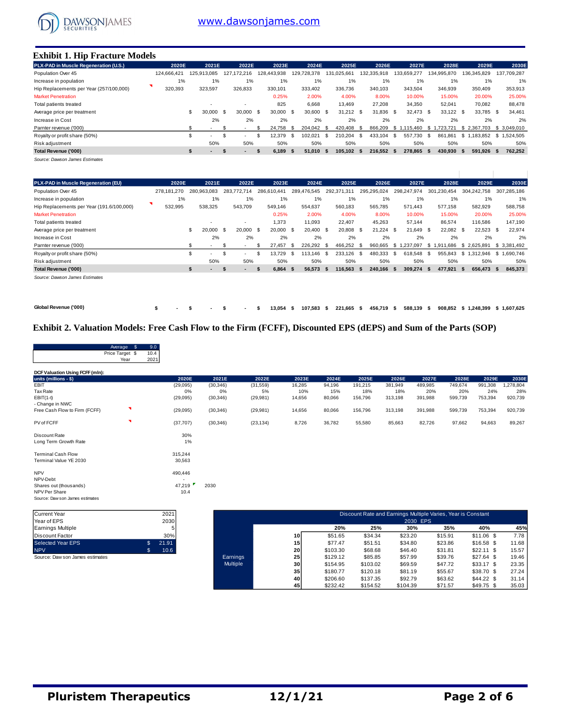

#### **Exhibit 1. Hip Fracture Models**

| PLX-PAD in Muscle Regeneration (U.S.).  | 2020E       | 2021E         | 2022E             | 2023E       | 2024E           | 2025E               | 2026E           | 2027E             | 2028E           | 2029E           | 2030E        |
|-----------------------------------------|-------------|---------------|-------------------|-------------|-----------------|---------------------|-----------------|-------------------|-----------------|-----------------|--------------|
| Population Over 45                      | 124.666.421 | 125.913.085   | 127.172.216       | 128.443.938 | 728.378<br>129. | 131.025.661         | 132.335.918     | 133.659.277       | 134.995.870     | 136.345.829     | 137.709.287  |
| Increase in population                  | 1%          | 1%            | 1%                | 1%          | 1%              | 1%                  | 1%              | 1%                | 1%              | 1%              | 1%           |
| Hip Replacements per Year (257/100,000) | 320,393     | 323,597       | 326,833           | 330,101     | 333.402         | 336,736             | 340.103         | 343,504           | 346,939         | 350,409         | 353,913      |
| <b>Market Penetration</b>               |             |               |                   | 0.25%       | 2.00%           | 4.00%               | 8.00%           | 10.00%            | 15.00%          | 20.00%          | 25.00%       |
| Total patients treated                  |             |               |                   | 825         | 6,668           | 13.469              | 27,208          | 34,350            | 52,041          | 70,082          | 88,478       |
| Average price per treatment             |             | \$<br>30.000  | 30,000 \$<br>- \$ | 30,000 \$   | 30.600          | $31.212$ \$<br>- \$ | 31.836          | 32.473 \$<br>- \$ | 33,122 \$       | 33,785 \$       | 34,461       |
| Increase in Cost                        |             | 2%            | 2%                | 2%          | 2%              | 2%                  | 2%              | 2%                | 2%              | 2%              | 2%           |
| Parnter revenue ('000)                  |             |               |                   | 24.758      | 204.042<br>- S  | 420.408<br>- \$     | 866.209<br>- \$ | .115.460<br>-S 1  | .723.721<br>- S | \$2.367.703     | \$ 3.049.010 |
| Royalty or profit share (50%)           |             | \$<br>. .     | ۰.                | 12.379      | 102.021<br>-86  | 210.204<br>-S       | 433.104<br>- \$ | - \$<br>557.730   | - \$<br>861.861 | \$1<br>.183.852 | \$1.524.505  |
| Risk adjustment                         |             | 50%           | 50%               | 50%         | 50%             | 50%                 | 50%             | 50%               | 50%             | 50%             | 50%          |
| Total Revenue ('000)                    |             | $\sim$<br>-55 | ъ                 | 6.189       | 51.010<br>Ŝ.    | 105.102 \$<br>- 55  | 216.552         | 278.865 \$<br>-S  | 430.930 \$      | 591.926 \$      | 762,252      |
|                                         |             |               |                   |             |                 |                     |                 |                   |                 |                 |              |

*Source: Dawson James Estimates*

| PLX-PAD in Muscle Regeneration (EU)       | 2020E       | 2021E                |             | 2022E       | 2023E       | 2024E             |      | 2025E           | 2026E               | 2027E           | 2028E               | 2029E               | 2030E       |
|-------------------------------------------|-------------|----------------------|-------------|-------------|-------------|-------------------|------|-----------------|---------------------|-----------------|---------------------|---------------------|-------------|
| Population Over 45                        | 278.181.270 | 280.963.083          | 283.772.714 |             | 286.610.441 | 289.476.545       |      | .31'<br>292.371 | 295.295.024         | 298,247,974     | 301,230,454         | 304,242,758         | 307.285.186 |
| Increase in population                    | 1%          | 1%                   |             | 1%          | 1%          | 1%                |      | $1\%$           | 1%                  | 1%              | 1%                  | 1%                  | 1%          |
| Hip Replacements per Year (191.6/100,000) | 532,995     | 538,325              | 543.709     |             | 549.146     | 554.637           |      | 560,183         | 565.785             | 571.443         | 577.158             | 582,929             | 588,758     |
| <b>Market Penetration</b>                 |             |                      |             |             | 0.25%       | 2.00%             |      | 4.00%           | 8.00%               | 10.00%          | 15.00%              | 20.00%              | 25.00%      |
| Total patients treated                    |             | ٠                    |             |             | 1,373       | 11,093            |      | 22,407          | 45,263              | 57,144          | 86,574              | 116,586             | 147,190     |
| Average price per treatment               |             | \$.<br>20.000        | - \$        | $20.000$ \$ | 20.000      | 20.400 \$<br>- \$ |      | 20,808          | - \$<br>$21.224$ \$ | 21.649          | 22.082<br><b>S</b>  | $22.523$ \$<br>- \$ | 22.974      |
| Increase in Cost                          |             | 2%                   |             | 2%          | 2%          | 2%                |      | 2%              | 2%                  | 2%              | 2%                  | 2%                  | 2%          |
| Parnter revenue ('000)                    |             |                      | - \$        |             | 27.457      | 226.292<br>- \$   | - \$ | 466.252         | 960.665<br>- \$     | \$1.237.097     | .686<br>\$1.91      | \$2.625.891         | \$3,381,492 |
| Royalty or profit share (50%)             |             | . .                  | \$.<br>. .  |             | 3.729       | - \$<br>113.146   | - \$ | 233.126         | 480.333<br>- \$     | 618.548<br>- \$ | 955.843<br><b>S</b> | \$1.312.946         | \$1.690.746 |
| Risk adjustment                           |             | 50%                  |             | 50%         | 50%         | 50%               |      | 50%             | 50%                 | 50%             | 50%                 | 50%                 | 50%         |
| Total Revenue ('000)                      |             | \$<br>$\blacksquare$ | - 31        | $\sim$      | 6,864       | 56,573<br>-S      | -55  | 116.563         | 240.166 \$<br>- 55  | 309.274 \$      | 477.921             | 656.473 \$<br>- S   | 845,373     |
| Source: Dawson James Estimates            |             |                      |             |             |             |                   |      |                 |                     |                 |                     |                     |             |

*Source: Dawson James Estimates*

**Global Revenue ('000) \$ - \$ - \$ - \$ 13,054 \$ 107,583 \$ 221,665 \$ 456,719 \$ 588,139 \$ 908,852 \$ 1,248,399 \$ 1,607,625**

## **Exhibit 2. Valuation Models: Free Cash Flow to the Firm (FCFF), Discounted EPS (dEPS) and Sum of the Parts (SOP)**

|                                 | Average \$              | 9.0          |           |           |           |        |        |         |                                                              |         |         |         |          |
|---------------------------------|-------------------------|--------------|-----------|-----------|-----------|--------|--------|---------|--------------------------------------------------------------|---------|---------|---------|----------|
|                                 | Price Target \$<br>Year | 10.4<br>2021 |           |           |           |        |        |         |                                                              |         |         |         |          |
| DCF Valuation Using FCFF (mln): |                         |              |           |           |           |        |        |         |                                                              |         |         |         |          |
| units (millions - \$)           |                         |              | 2020E     | 2021E     | 2022E     | 2023E  | 2024E  | 2025E   | 2026E                                                        | 2027E   | 2028E   | 2029E   | 2030E    |
| EBIT                            |                         |              | (29,095)  | (30, 346) | (31, 559) | 16,285 | 94,196 | 191,215 | 381,949                                                      | 489,985 | 749,674 | 991,308 | ,278,804 |
| Tax Rate                        |                         |              | 0%        | 0%        | 5%        | 10%    | 15%    | 18%     | 18%                                                          | 20%     | 20%     | 24%     | 28%      |
| $EBIT(1-t)$                     |                         |              | (29,095)  | (30, 346) | (29, 981) | 14,656 | 80,066 | 156,796 | 313,198                                                      | 391,988 | 599,739 | 753,394 | 920,739  |
| - Change in NWC                 |                         |              |           |           |           |        |        |         |                                                              |         |         |         |          |
| Free Cash Flow to Firm (FCFF)   | я                       |              | (29, 095) | (30, 346) | (29, 981) | 14,656 | 80,066 | 156,796 | 313,198                                                      | 391,988 | 599,739 | 753,394 | 920,739  |
| PV of FCFF                      | я                       |              | (37,707)  | (30, 346) | (23, 134) | 8,726  | 36,782 | 55,580  | 85,663                                                       | 82,726  | 97,662  | 94,663  | 89,267   |
| Discount Rate                   |                         |              | 30%       |           |           |        |        |         |                                                              |         |         |         |          |
| Long Term Growth Rate           |                         |              | $1\%$     |           |           |        |        |         |                                                              |         |         |         |          |
| <b>Terminal Cash Flow</b>       |                         |              | 315,244   |           |           |        |        |         |                                                              |         |         |         |          |
| Terminal Value YE 2030          |                         |              | 30,563    |           |           |        |        |         |                                                              |         |         |         |          |
| <b>NPV</b>                      |                         |              | 490,446   |           |           |        |        |         |                                                              |         |         |         |          |
| NPV-Debt                        |                         |              | ٠         |           |           |        |        |         |                                                              |         |         |         |          |
| Shares out (thousands)          |                         |              | 47,219    | 2030      |           |        |        |         |                                                              |         |         |         |          |
| NPV Per Share                   |                         |              | 10.4      |           |           |        |        |         |                                                              |         |         |         |          |
| Source: Daw son James estimates |                         |              |           |           |           |        |        |         |                                                              |         |         |         |          |
|                                 |                         |              |           |           |           |        |        |         |                                                              |         |         |         |          |
| Current Year                    |                         |              | 2021      |           |           |        |        |         | Discount Rate and Farnings Multiple Varies, Year is Constant |         |         |         |          |

| Current Year                    | 2021        |
|---------------------------------|-------------|
| Year of EPS                     | 2030        |
| Earnings Multiple               | 5           |
| Discount Factor                 | 30%         |
| <b>Selected Year EPS</b>        | \$<br>21.91 |
| <b>NPV</b>                      | \$<br>10.6  |
| Source: Daw son James estimates |             |

| Current Year                    | 2021       |                 | Discount Rate and Earnings Multiple Varies, Year is Constant |          |          |          |         |             |       |  |  |  |
|---------------------------------|------------|-----------------|--------------------------------------------------------------|----------|----------|----------|---------|-------------|-------|--|--|--|
| Year of EPS                     | 2030       |                 |                                                              |          |          | 2030 EPS |         |             |       |  |  |  |
| Earnings Multiple               |            |                 |                                                              | 20%      | 25%      | 30%      | 35%     | 40%         | 45%   |  |  |  |
| Discount Factor                 | 30%        |                 | 10 <sup>1</sup>                                              | \$51.65  | \$34.34  | \$23.20  | \$15.91 | $$11.06$ \$ | 7.78  |  |  |  |
| Selected Year EPS               | 21.91      |                 | 15                                                           | \$77.47  | \$51.51  | \$34.80  | \$23.86 | $$16.58$ \$ | 11.68 |  |  |  |
| <b>NPV</b>                      | \$<br>10.6 |                 | 20                                                           | \$103.30 | \$68.68  | \$46.40  | \$31.81 | $$22.11$ \$ | 15.57 |  |  |  |
| Source: Daw son James estimates |            | Earnings        | 25 <sub>l</sub>                                              | \$129.12 | \$85.85  | \$57.99  | \$39.76 | $$27.64$ \$ | 19.46 |  |  |  |
|                                 |            | <b>Multiple</b> | 30 <sup>1</sup>                                              | \$154.95 | \$103.02 | \$69.59  | \$47.72 | $$33.17$ \$ | 23.35 |  |  |  |
|                                 |            |                 | 35                                                           | \$180.77 | \$120.18 | \$81.19  | \$55.67 | \$38.70 \$  | 27.24 |  |  |  |
|                                 |            |                 | 40                                                           | \$206.60 | \$137.35 | \$92.79  | \$63.62 | $$44.22$ \$ | 31.14 |  |  |  |
|                                 |            |                 | 45                                                           | \$232.42 | \$154.52 | \$104.39 | \$71.57 | $$49.75$ \$ | 35.03 |  |  |  |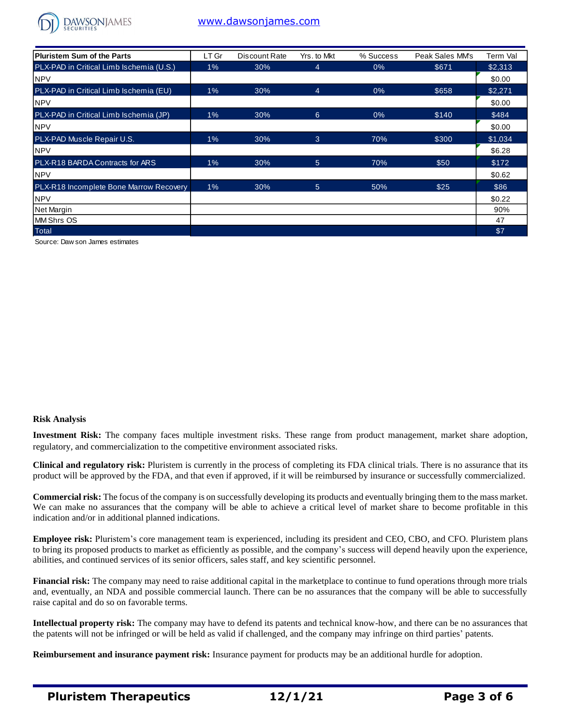

# [www.dawsonjames.com](http://www.dawsonjames.com/)

| Pluristem Sum of the Parts               | LT Gr | Discount Rate | Yrs. to Mkt | % Success | Peak Sales MM's | Term Val |
|------------------------------------------|-------|---------------|-------------|-----------|-----------------|----------|
| PLX-PAD in Critical Limb Ischemia (U.S.) | $1\%$ | 30%           | 4           | $0\%$     | \$671           | \$2,313  |
| <b>NPV</b>                               |       |               |             |           |                 | \$0.00   |
| PLX-PAD in Critical Limb Ischemia (EU)   | $1\%$ | 30%           | 4           | 0%        | \$658           | \$2,271  |
| <b>NPV</b>                               |       |               |             |           |                 | \$0.00   |
| PLX-PAD in Critical Limb Ischemia (JP)   | $1\%$ | 30%           | 6           | $0\%$     | \$140           | \$484    |
| <b>NPV</b>                               |       |               |             |           |                 | \$0.00   |
| <b>PLX-PAD Muscle Repair U.S.</b>        | $1\%$ | 30%           | 3           | 70%       | \$300           | \$1,034  |
| <b>NPV</b>                               |       |               |             |           |                 | \$6.28   |
| PLX-R18 BARDA Contracts for ARS          | $1\%$ | 30%           | 5           | 70%       | \$50            | \$172    |
| <b>NPV</b>                               |       |               |             |           |                 | \$0.62   |
| PLX-R18 Incomplete Bone Marrow Recovery  | 1%    | 30%           | 5           | 50%       | \$25            | \$86     |
| <b>NPV</b>                               |       |               |             |           |                 | \$0.22   |
| Net Margin                               |       |               |             |           |                 | 90%      |
| <b>MM Shrs OS</b>                        |       |               |             |           |                 | 47       |
| <b>Total</b>                             |       |               |             |           |                 | \$7      |

Source: Daw son James estimates

#### **Risk Analysis**

**Investment Risk:** The company faces multiple investment risks. These range from product management, market share adoption, regulatory, and commercialization to the competitive environment associated risks.

**Clinical and regulatory risk:** Pluristem is currently in the process of completing its FDA clinical trials. There is no assurance that its product will be approved by the FDA, and that even if approved, if it will be reimbursed by insurance or successfully commercialized.

**Commercial risk:** The focus of the company is on successfully developing its products and eventually bringing them to the mass market. We can make no assurances that the company will be able to achieve a critical level of market share to become profitable in this indication and/or in additional planned indications.

**Employee risk:** Pluristem's core management team is experienced, including its president and CEO, CBO, and CFO. Pluristem plans to bring its proposed products to market as efficiently as possible, and the company's success will depend heavily upon the experience, abilities, and continued services of its senior officers, sales staff, and key scientific personnel.

**Financial risk:** The company may need to raise additional capital in the marketplace to continue to fund operations through more trials and, eventually, an NDA and possible commercial launch. There can be no assurances that the company will be able to successfully raise capital and do so on favorable terms.

**Intellectual property risk:** The company may have to defend its patents and technical know-how, and there can be no assurances that the patents will not be infringed or will be held as valid if challenged, and the company may infringe on third parties' patents.

**Reimbursement and insurance payment risk:** Insurance payment for products may be an additional hurdle for adoption.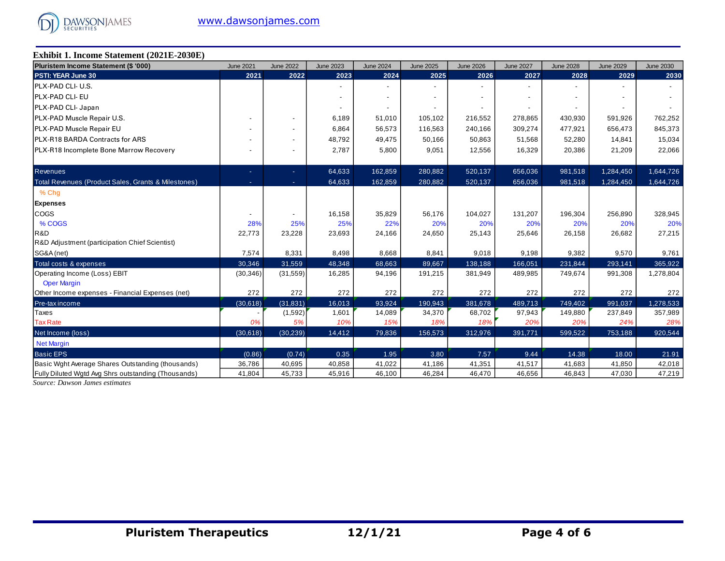

## **Exhibit 1. Income Statement (2021E-2030E)**

| Pluristem Income Statement (\$ '000)                | <b>June 2021</b> | <b>June 2022</b> | <b>June 2023</b> | <b>June 2024</b> | <b>June 2025</b>         | <b>June 2026</b> | <b>June 2027</b> | <b>June 2028</b> | <b>June 2029</b> | <b>June 2030</b> |
|-----------------------------------------------------|------------------|------------------|------------------|------------------|--------------------------|------------------|------------------|------------------|------------------|------------------|
| PSTI: YEAR June 30                                  | 2021             | 2022             | 2023             | 2024             | 2025                     | 2026             | 2027             | 2028             | 2029             | 2030             |
| <b>IPLX-PAD CLI- U.S.</b>                           |                  |                  |                  |                  |                          |                  |                  |                  |                  |                  |
| <b>IPLX-PAD CLI- EU</b>                             |                  |                  |                  |                  | $\overline{\phantom{a}}$ |                  |                  |                  |                  |                  |
| PLX-PAD CLI- Japan                                  |                  |                  |                  |                  |                          |                  |                  |                  |                  |                  |
| PLX-PAD Muscle Repair U.S.                          |                  |                  | 6,189            | 51,010           | 105,102                  | 216,552          | 278,865          | 430,930          | 591,926          | 762,252          |
| PLX-PAD Muscle Repair EU                            |                  |                  | 6,864            | 56,573           | 116,563                  | 240,166          | 309,274          | 477,921          | 656,473          | 845,373          |
| PLX-R18 BARDA Contracts for ARS                     |                  |                  | 48,792           | 49,475           | 50,166                   | 50,863           | 51,568           | 52,280           | 14,841           | 15,034           |
| <b>PLX-R18 Incomplete Bone Marrow Recovery</b>      |                  |                  | 2,787            | 5,800            | 9,051                    | 12,556           | 16,329           | 20,386           | 21,209           | 22,066           |
| <b>Revenues</b>                                     |                  | ÷.               | 64,633           | 162,859          | 280,882                  | 520,137          | 656,036          | 981,518          | 1,284,450        | 1,644,726        |
| Total Revenues (Product Sales, Grants & Milestones) |                  | $\sim$           | 64,633           | 162,859          | 280,882                  | 520,137          | 656,036          | 981,518          | 1,284,450        | 1,644,726        |
| % Chg                                               |                  |                  |                  |                  |                          |                  |                  |                  |                  |                  |
| <b>Expenses</b>                                     |                  |                  |                  |                  |                          |                  |                  |                  |                  |                  |
| <b>COGS</b>                                         |                  |                  | 16,158           | 35,829           | 56,176                   | 104,027          | 131,207          | 196,304          | 256,890          | 328,945          |
| % COGS                                              | 28%              | 25%              | 25%              | 22%              | 20%                      | 20%              | 20%              | 20%              | 20%              | 20%              |
| R&D                                                 | 22,773           | 23,228           | 23,693           | 24,166           | 24,650                   | 25,143           | 25,646           | 26,158           | 26,682           | 27,215           |
| R&D Adjustment (participation Chief Scientist)      |                  |                  |                  |                  |                          |                  |                  |                  |                  |                  |
| SG&A (net)                                          | 7,574            | 8,331            | 8,498            | 8,668            | 8,841                    | 9,018            | 9,198            | 9,382            | 9,570            | 9,761            |
| Total costs & expenses                              | 30,346           | 31,559           | 48,348           | 68,663           | 89,667                   | 138,188          | 166,051          | 231,844          | 293,141          | 365,922          |
| Operating Income (Loss) EBIT                        | (30, 346)        | (31, 559)        | 16,285           | 94,196           | 191,215                  | 381,949          | 489,985          | 749,674          | 991,308          | 1,278,804        |
| <b>Oper Margin</b>                                  |                  |                  |                  |                  |                          |                  |                  |                  |                  |                  |
| Other Income expenses - Financial Expenses (net)    | 272              | 272              | 272              | 272              | 272                      | 272              | 272              | 272              | 272              | 272              |
| Pre-tax income                                      | (30,618)         | (31, 831)        | 16,013           | 93.924           | 190,943                  | 381,678          | 489,713          | 749,402          | 991,037          | 1,278,533        |
| Taxes                                               |                  | (1,592)          | 1,601            | 14,089           | 34,370                   | 68,702           | 97,943           | 149,880          | 237,849          | 357,989          |
| <b>Tax Rate</b>                                     | 0%               | 5%               | 10%              | 15%              | 18%                      | 18%              | 20%              | 20%              | 24%              | 28%              |
| Net Income (loss)                                   | (30,618)         | (30, 239)        | 14,412           | 79,836           | 156,573                  | 312,976          | 391,771          | 599,522          | 753,188          | 920,544          |
| <b>Net Margin</b>                                   |                  |                  |                  |                  |                          |                  |                  |                  |                  |                  |
| <b>Basic EPS</b>                                    | (0.86)           | (0.74)           | 0.35             | 1.95             | 3.80                     | 7.57             | 9.44             | 14.38            | 18.00            | 21.91            |
| Basic Wght Average Shares Outstanding (thousands)   | 36,786           | 40,695           | 40,858           | 41,022           | 41,186                   | 41,351           | 41,517           | 41,683           | 41,850           | 42,018           |
| Fully Diluted Watd Avg Shrs outstanding (Thousands) | 41,804           | 45,733           | 45,916           | 46,100           | 46,284                   | 46,470           | 46,656           | 46,843           | 47,030           | 47,219           |

*Source: Dawson James estimates*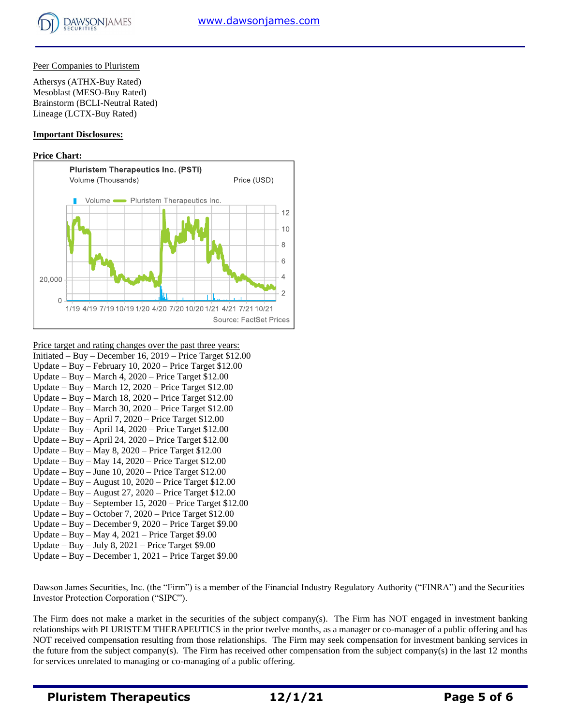

#### Peer Companies to Pluristem

Athersys (ATHX-Buy Rated) Mesoblast (MESO-Buy Rated) Brainstorm (BCLI-Neutral Rated) Lineage (LCTX-Buy Rated)

#### **Important Disclosures:**

#### **Price Chart:**



Price target and rating changes over the past three years:

- Initiated Buy December 16, 2019 Price Target \$12.00 Update – Buy – February 10, 2020 – Price Target \$12.00
- Update Buy March 4, 2020 Price Target \$12.00
- Update Buy March 12, 2020 Price Target \$12.00
- Update Buy March 18, 2020 Price Target \$12.00
- Update Buy March 30, 2020 Price Target \$12.00
- Update Buy April 7, 2020 Price Target \$12.00
- Update Buy April 14, 2020 Price Target \$12.00
- Update Buy April 24, 2020 Price Target \$12.00
- Update Buy May 8, 2020 Price Target \$12.00
- Update Buy May 14, 2020 Price Target \$12.00
- Update Buy June 10, 2020 Price Target \$12.00
- Update Buy August 10, 2020 Price Target \$12.00
- Update Buy August 27, 2020 Price Target \$12.00
- Update Buy September 15, 2020 Price Target \$12.00
- Update Buy October 7, 2020 Price Target \$12.00
- Update Buy December 9, 2020 Price Target \$9.00
- Update Buy May 4, 2021 Price Target \$9.00
- Update Buy July 8,  $2021$  Price Target \$9.00
- Update Buy December 1, 2021 Price Target \$9.00

Dawson James Securities, Inc. (the "Firm") is a member of the Financial Industry Regulatory Authority ("FINRA") and the Securities Investor Protection Corporation ("SIPC").

The Firm does not make a market in the securities of the subject company(s). The Firm has NOT engaged in investment banking relationships with PLURISTEM THERAPEUTICS in the prior twelve months, as a manager or co-manager of a public offering and has NOT received compensation resulting from those relationships. The Firm may seek compensation for investment banking services in the future from the subject company(s). The Firm has received other compensation from the subject company(s) in the last 12 months for services unrelated to managing or co-managing of a public offering.